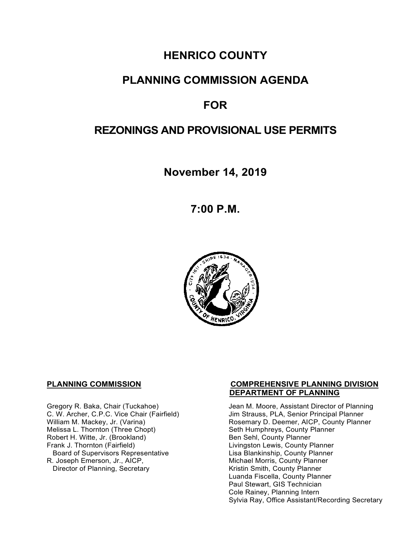# **HENRICO COUNTY**

# **PLANNING COMMISSION AGENDA**

# **FOR**

# **REZONINGS AND PROVISIONAL USE PERMITS**

**November 14, 2019**

**7:00 P.M.**



Melissa L. Thornton (Three Chopt) Seth Humphreys, County F<br>
Robert H. Witte, Jr. (Brookland) Seth Sen Sehl, County Planner Robert H. Witte, Jr. (Brookland)<br>Frank J. Thornton (Fairfield) Board of Supervisors Representative Lisa Blankinship, County Planner<br>R. Joseph Emerson, Jr., AICP, Michael Morris, County Planner Director of Planning, Secretary

#### **PLANNING COMMISSION COMPREHENSIVE PLANNING DIVISION DEPARTMENT OF PLANNING**

Gregory R. Baka, Chair (Tuckahoe) Jean M. Moore, Assistant Director of Planning<br>C. W. Archer, C.P.C. Vice Chair (Fairfield) Jim Strauss, PLA, Senior Principal Planner C. W. Archer, C.P.C. Vice Chair (Fairfield) Jim Strauss, PLA, Senior Principal Planner<br>William M. Mackey, Jr. (Varina) Sand Chair Rosemary D. Deemer, AICP, County Plann Rosemary D. Deemer, AICP, County Planner<br>Seth Humphreys, County Planner Livingston Lewis, County Planner Michael Morris, County Planner<br>Kristin Smith, County Planner Luanda Fiscella, County Planner Paul Stewart, GIS Technician Cole Rainey, Planning Intern Sylvia Ray, Office Assistant/Recording Secretary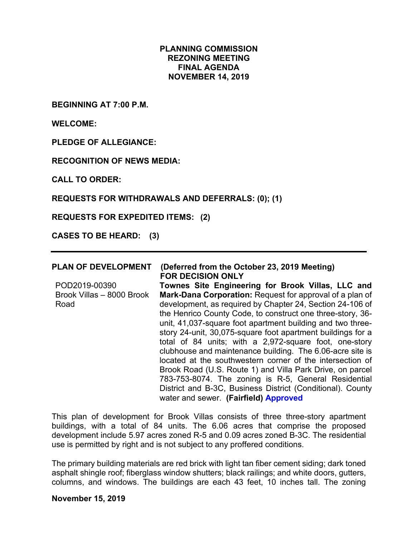### **PLANNING COMMISSION REZONING MEETING FINAL AGENDA NOVEMBER 14, 2019**

**BEGINNING AT 7:00 P.M.**

**WELCOME:**

**PLEDGE OF ALLEGIANCE:**

**RECOGNITION OF NEWS MEDIA:**

**CALL TO ORDER:**

#### **REQUESTS FOR WITHDRAWALS AND DEFERRALS: (0); (1)**

**REQUESTS FOR EXPEDITED ITEMS: (2)**

**CASES TO BE HEARD: (3)**

| <b>PLAN OF DEVELOPMENT</b> | (Deferred from the October 23, 2019 Meeting)                |
|----------------------------|-------------------------------------------------------------|
|                            | <b>FOR DECISION ONLY</b>                                    |
| POD2019-00390              | Townes Site Engineering for Brook Villas, LLC and           |
| Brook Villas - 8000 Brook  | Mark-Dana Corporation: Request for approval of a plan of    |
| Road                       | development, as required by Chapter 24, Section 24-106 of   |
|                            | the Henrico County Code, to construct one three-story, 36-  |
|                            | unit, 41,037-square foot apartment building and two three-  |
|                            | story 24-unit, 30,075-square foot apartment buildings for a |
|                            | total of 84 units; with a 2,972-square foot, one-story      |
|                            | clubhouse and maintenance building. The 6.06-acre site is   |
|                            | located at the southwestern corner of the intersection of   |
|                            | Brook Road (U.S. Route 1) and Villa Park Drive, on parcel   |
|                            | 783-753-8074. The zoning is R-5, General Residential        |
|                            | District and B-3C, Business District (Conditional). County  |
|                            | water and sewer. (Fairfield) Approved                       |

This plan of development for Brook Villas consists of three three-story apartment buildings, with a total of 84 units. The 6.06 acres that comprise the proposed development include 5.97 acres zoned R-5 and 0.09 acres zoned B-3C. The residential use is permitted by right and is not subject to any proffered conditions.

The primary building materials are red brick with light tan fiber cement siding; dark toned asphalt shingle roof; fiberglass window shutters; black railings; and white doors, gutters, columns, and windows. The buildings are each 43 feet, 10 inches tall. The zoning

### **November 15, 2019**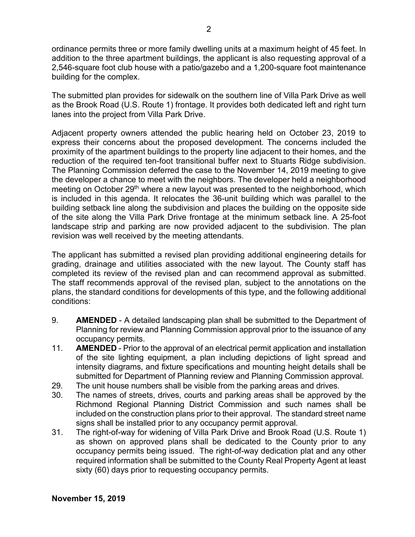ordinance permits three or more family dwelling units at a maximum height of 45 feet. In addition to the three apartment buildings, the applicant is also requesting approval of a 2,546-square foot club house with a patio/gazebo and a 1,200-square foot maintenance building for the complex.

The submitted plan provides for sidewalk on the southern line of Villa Park Drive as well as the Brook Road (U.S. Route 1) frontage. It provides both dedicated left and right turn lanes into the project from Villa Park Drive.

Adjacent property owners attended the public hearing held on October 23, 2019 to express their concerns about the proposed development. The concerns included the proximity of the apartment buildings to the property line adjacent to their homes, and the reduction of the required ten-foot transitional buffer next to Stuarts Ridge subdivision. The Planning Commission deferred the case to the November 14, 2019 meeting to give the developer a chance to meet with the neighbors. The developer held a neighborhood meeting on October 29<sup>th</sup> where a new layout was presented to the neighborhood, which is included in this agenda. It relocates the 36-unit building which was parallel to the building setback line along the subdivision and places the building on the opposite side of the site along the Villa Park Drive frontage at the minimum setback line. A 25-foot landscape strip and parking are now provided adjacent to the subdivision. The plan revision was well received by the meeting attendants.

The applicant has submitted a revised plan providing additional engineering details for grading, drainage and utilities associated with the new layout. The County staff has completed its review of the revised plan and can recommend approval as submitted. The staff recommends approval of the revised plan, subject to the annotations on the plans, the standard conditions for developments of this type, and the following additional conditions:

- 9. **AMENDED** A detailed landscaping plan shall be submitted to the Department of Planning for review and Planning Commission approval prior to the issuance of any occupancy permits.
- 11. **AMENDED** Prior to the approval of an electrical permit application and installation of the site lighting equipment, a plan including depictions of light spread and intensity diagrams, and fixture specifications and mounting height details shall be submitted for Department of Planning review and Planning Commission approval.
- 29. The unit house numbers shall be visible from the parking areas and drives.
- 30. The names of streets, drives, courts and parking areas shall be approved by the Richmond Regional Planning District Commission and such names shall be included on the construction plans prior to their approval. The standard street name signs shall be installed prior to any occupancy permit approval.
- 31. The right-of-way for widening of Villa Park Drive and Brook Road (U.S. Route 1) as shown on approved plans shall be dedicated to the County prior to any occupancy permits being issued. The right-of-way dedication plat and any other required information shall be submitted to the County Real Property Agent at least sixty (60) days prior to requesting occupancy permits.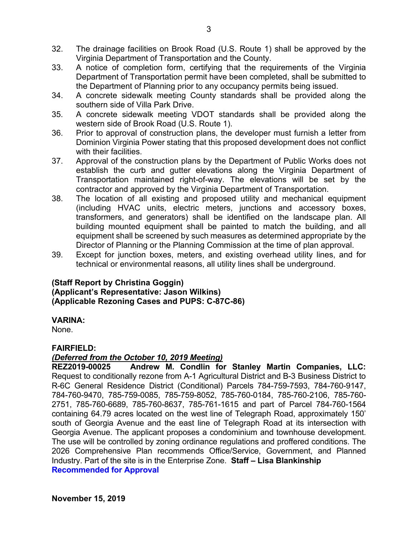- 32. The drainage facilities on Brook Road (U.S. Route 1) shall be approved by the Virginia Department of Transportation and the County.
- 33. A notice of completion form, certifying that the requirements of the Virginia Department of Transportation permit have been completed, shall be submitted to the Department of Planning prior to any occupancy permits being issued.
- 34. A concrete sidewalk meeting County standards shall be provided along the southern side of Villa Park Drive.
- 35. A concrete sidewalk meeting VDOT standards shall be provided along the western side of Brook Road (U.S. Route 1).
- 36. Prior to approval of construction plans, the developer must furnish a letter from Dominion Virginia Power stating that this proposed development does not conflict with their facilities.
- 37. Approval of the construction plans by the Department of Public Works does not establish the curb and gutter elevations along the Virginia Department of Transportation maintained right-of-way. The elevations will be set by the contractor and approved by the Virginia Department of Transportation.
- 38. The location of all existing and proposed utility and mechanical equipment (including HVAC units, electric meters, junctions and accessory boxes, transformers, and generators) shall be identified on the landscape plan. All building mounted equipment shall be painted to match the building, and all equipment shall be screened by such measures as determined appropriate by the Director of Planning or the Planning Commission at the time of plan approval.
- 39. Except for junction boxes, meters, and existing overhead utility lines, and for technical or environmental reasons, all utility lines shall be underground.

# **(Staff Report by Christina Goggin) (Applicant's Representative: Jason Wilkins) (Applicable Rezoning Cases and PUPS: C-87C-86)**

## **VARINA:**

None.

# **FAIRFIELD:**

# *(Deferred from the October 10, 2019 Meeting)*

**REZ2019-00025 Andrew M. Condlin for Stanley Martin Companies, LLC:** Request to conditionally rezone from A-1 Agricultural District and B-3 Business District to R-6C General Residence District (Conditional) Parcels 784-759-7593, 784-760-9147, 784-760-9470, 785-759-0085, 785-759-8052, 785-760-0184, 785-760-2106, 785-760- 2751, 785-760-6689, 785-760-8637, 785-761-1615 and part of Parcel 784-760-1564 containing 64.79 acres located on the west line of Telegraph Road, approximately 150' south of Georgia Avenue and the east line of Telegraph Road at its intersection with Georgia Avenue. The applicant proposes a condominium and townhouse development. The use will be controlled by zoning ordinance regulations and proffered conditions. The 2026 Comprehensive Plan recommends Office/Service, Government, and Planned Industry. Part of the site is in the Enterprise Zone. **Staff – Lisa Blankinship Recommended for Approval**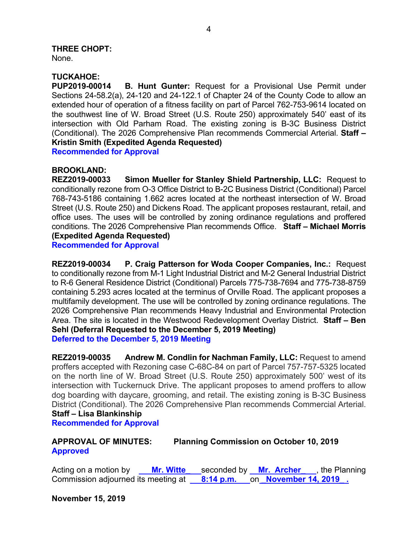## **THREE CHOPT:**

None.

## **TUCKAHOE:**

**PUP2019-00014 B. Hunt Gunter:** Request for a Provisional Use Permit under Sections 24-58.2(a), 24-120 and 24-122.1 of Chapter 24 of the County Code to allow an extended hour of operation of a fitness facility on part of Parcel 762-753-9614 located on the southwest line of W. Broad Street (U.S. Route 250) approximately 540' east of its intersection with Old Parham Road. The existing zoning is B-3C Business District (Conditional). The 2026 Comprehensive Plan recommends Commercial Arterial. **Staff – Kristin Smith (Expedited Agenda Requested)**

**Recommended for Approval**

### **BROOKLAND:**

**REZ2019-00033 Simon Mueller for Stanley Shield Partnership, LLC:** Request to conditionally rezone from O-3 Office District to B-2C Business District (Conditional) Parcel 768-743-5186 containing 1.662 acres located at the northeast intersection of W. Broad Street (U.S. Route 250) and Dickens Road. The applicant proposes restaurant, retail, and office uses. The uses will be controlled by zoning ordinance regulations and proffered conditions. The 2026 Comprehensive Plan recommends Office. **Staff – Michael Morris (Expedited Agenda Requested)** 

**Recommended for Approval**

**REZ2019-00034 P. Craig Patterson for Woda Cooper Companies, Inc.:** Request to conditionally rezone from M-1 Light Industrial District and M-2 General Industrial District to R-6 General Residence District (Conditional) Parcels 775-738-7694 and 775-738-8759 containing 5.293 acres located at the terminus of Orville Road. The applicant proposes a multifamily development. The use will be controlled by zoning ordinance regulations. The 2026 Comprehensive Plan recommends Heavy Industrial and Environmental Protection Area. The site is located in the Westwood Redevelopment Overlay District. **Staff – Ben Sehl (Deferral Requested to the December 5, 2019 Meeting) Deferred to the December 5, 2019 Meeting**

**REZ2019-00035 Andrew M. Condlin for Nachman Family, LLC:** Request to amend proffers accepted with Rezoning case C-68C-84 on part of Parcel 757-757-5325 located on the north line of W. Broad Street (U.S. Route 250) approximately 500' west of its intersection with Tuckernuck Drive. The applicant proposes to amend proffers to allow dog boarding with daycare, grooming, and retail. The existing zoning is B-3C Business District (Conditional). The 2026 Comprehensive Plan recommends Commercial Arterial. **Staff – Lisa Blankinship**

**Recommended for Approval**

# **APPROVAL OF MINUTES: Planning Commission on October 10, 2019 Approved**

Acting on a motion by **Mr. Witte\_** seconded by **Mr. Archer\_** , the Planning **Commission adjourned its meeting at a 8:14 p.m. on November 14, 2019**.

#### **November 15, 2019**